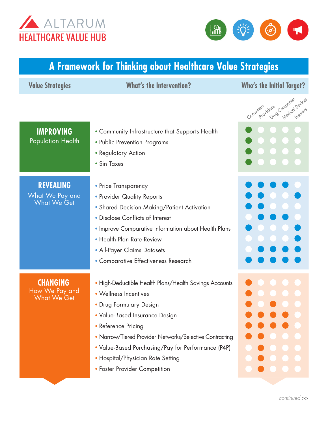



## **A Framework for Thinking about Healthcare Value Strategies**

| <b>Value Strategies</b>                                   | <b>What's the Intervention?</b>                                                                                                                                                                                                                                                                                                                            | <b>Who's the Initial Target?</b>                     |
|-----------------------------------------------------------|------------------------------------------------------------------------------------------------------------------------------------------------------------------------------------------------------------------------------------------------------------------------------------------------------------------------------------------------------------|------------------------------------------------------|
|                                                           |                                                                                                                                                                                                                                                                                                                                                            | Medical Devices<br>Drug Companies<br>Consumers idens |
| <b>IMPROVING</b><br><b>Population Health</b>              | • Community Infrastructure that Supports Health<br>• Public Prevention Programs<br>• Regulatory Action<br>• Sin Taxes                                                                                                                                                                                                                                      |                                                      |
| <b>REVEALING</b><br>What We Pay and<br><b>What We Get</b> | • Price Transparency<br>• Provider Quality Reports<br>• Shared Decision Making/Patient Activation<br>• Disclose Conflicts of Interest<br>. Improve Comparative Information about Health Plans<br>• Health Plan Rate Review<br>• All-Payer Claims Datasets<br>· Comparative Effectiveness Research                                                          |                                                      |
| <b>CHANGING</b><br>How We Pay and<br><b>What We Get</b>   | • High-Deductible Health Plans/Health Savings Accounts<br>• Wellness Incentives<br>• Drug Formulary Design<br>• Value-Based Insurance Design<br>• Reference Pricing<br>• Narrow/Tiered Provider Networks/Selective Contracting<br>. Value-Based Purchasing/Pay for Performance (P4P)<br>· Hospital/Physician Rate Setting<br>• Foster Provider Competition |                                                      |